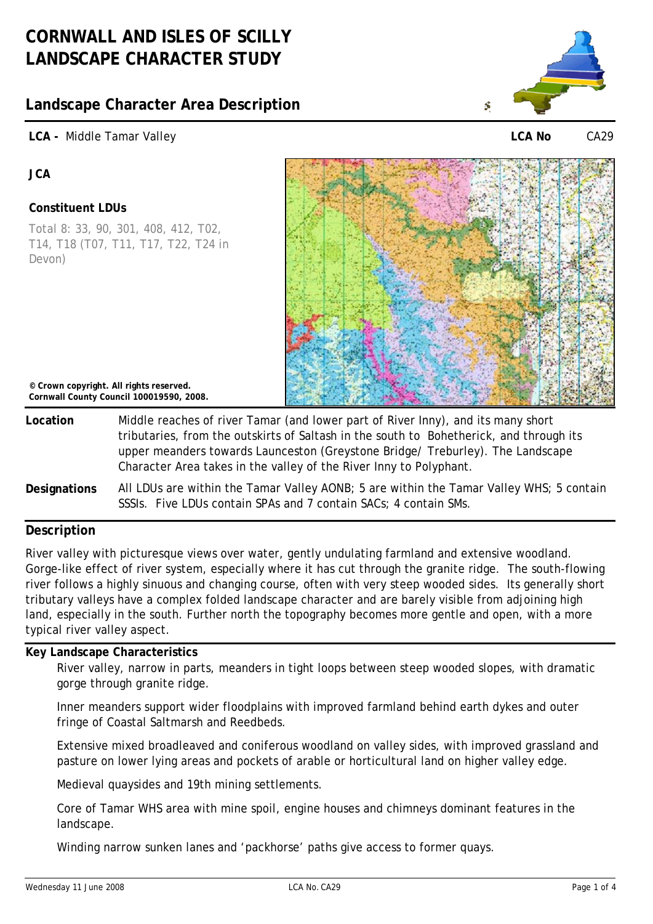# **Landscape Character Area Description**

# **LCA -** Middle Tamar Valley



**LCA No** CA29

**JCA** 

# **Constituent LDUs**

Total 8: 33, 90, 301, 408, 412, T02, T14, T18 (T07, T11, T17, T22, T24 in Devon)



**© Crown copyright. All rights reserved. Cornwall County Council 100019590, 2008.**

- **Location** Middle reaches of river Tamar (and lower part of River Inny), and its many short tributaries, from the outskirts of Saltash in the south to Bohetherick, and through its upper meanders towards Launceston (Greystone Bridge/ Treburley). The Landscape Character Area takes in the valley of the River Inny to Polyphant.
- **Designations** All LDUs are within the Tamar Valley AONB; 5 are within the Tamar Valley WHS; 5 contain SSSIs. Five LDUs contain SPAs and 7 contain SACs; 4 contain SMs.

# **Description**

River valley with picturesque views over water, gently undulating farmland and extensive woodland. Gorge-like effect of river system, especially where it has cut through the granite ridge. The south-flowing river follows a highly sinuous and changing course, often with very steep wooded sides. Its generally short tributary valleys have a complex folded landscape character and are barely visible from adjoining high land, especially in the south. Further north the topography becomes more gentle and open, with a more typical river valley aspect.

### **Key Landscape Characteristics**

River valley, narrow in parts, meanders in tight loops between steep wooded slopes, with dramatic gorge through granite ridge.

Inner meanders support wider floodplains with improved farmland behind earth dykes and outer fringe of Coastal Saltmarsh and Reedbeds.

Extensive mixed broadleaved and coniferous woodland on valley sides, with improved grassland and pasture on lower lying areas and pockets of arable or horticultural land on higher valley edge.

Medieval quaysides and 19th mining settlements.

Core of Tamar WHS area with mine spoil, engine houses and chimneys dominant features in the landscape.

Winding narrow sunken lanes and 'packhorse' paths give access to former quays.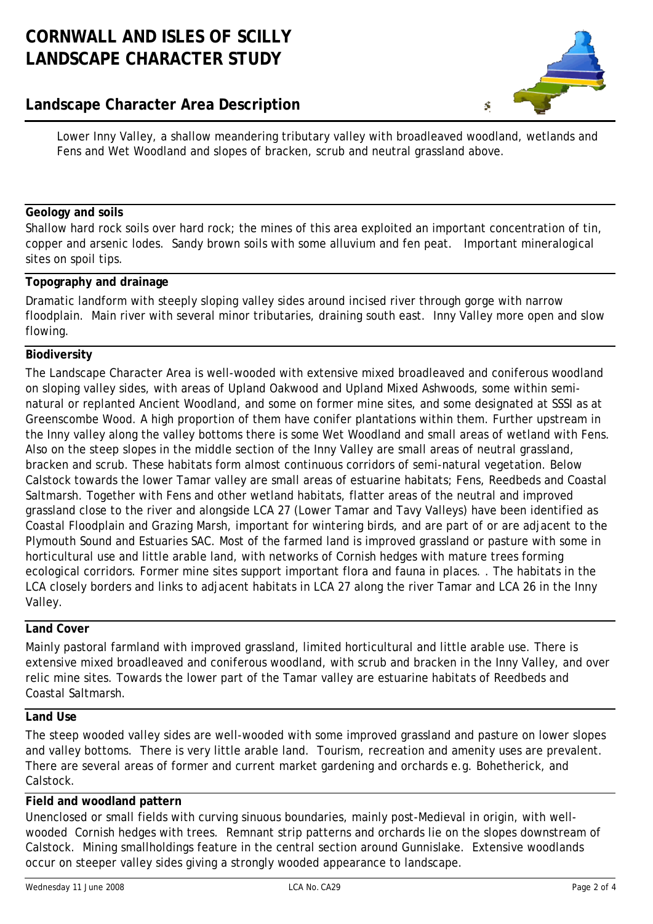# **CORNWALL AND ISLES OF SCILLY LANDSCAPE CHARACTER STUDY**

# **Landscape Character Area Description**



Lower Inny Valley, a shallow meandering tributary valley with broadleaved woodland, wetlands and Fens and Wet Woodland and slopes of bracken, scrub and neutral grassland above.

## **Geology and soils**

Shallow hard rock soils over hard rock; the mines of this area exploited an important concentration of tin, copper and arsenic lodes. Sandy brown soils with some alluvium and fen peat. Important mineralogical sites on spoil tips.

### **Topography and drainage**

Dramatic landform with steeply sloping valley sides around incised river through gorge with narrow floodplain. Main river with several minor tributaries, draining south east. Inny Valley more open and slow flowing.

### **Biodiversity**

The Landscape Character Area is well-wooded with extensive mixed broadleaved and coniferous woodland on sloping valley sides, with areas of Upland Oakwood and Upland Mixed Ashwoods, some within seminatural or replanted Ancient Woodland, and some on former mine sites, and some designated at SSSI as at Greenscombe Wood. A high proportion of them have conifer plantations within them. Further upstream in the Inny valley along the valley bottoms there is some Wet Woodland and small areas of wetland with Fens. Also on the steep slopes in the middle section of the Inny Valley are small areas of neutral grassland, bracken and scrub. These habitats form almost continuous corridors of semi-natural vegetation. Below Calstock towards the lower Tamar valley are small areas of estuarine habitats; Fens, Reedbeds and Coastal Saltmarsh. Together with Fens and other wetland habitats, flatter areas of the neutral and improved grassland close to the river and alongside LCA 27 (Lower Tamar and Tavy Valleys) have been identified as Coastal Floodplain and Grazing Marsh, important for wintering birds, and are part of or are adjacent to the Plymouth Sound and Estuaries SAC. Most of the farmed land is improved grassland or pasture with some in horticultural use and little arable land, with networks of Cornish hedges with mature trees forming ecological corridors. Former mine sites support important flora and fauna in places. . The habitats in the LCA closely borders and links to adjacent habitats in LCA 27 along the river Tamar and LCA 26 in the Inny Valley.

# **Land Cover**

Mainly pastoral farmland with improved grassland, limited horticultural and little arable use. There is extensive mixed broadleaved and coniferous woodland, with scrub and bracken in the Inny Valley, and over relic mine sites. Towards the lower part of the Tamar valley are estuarine habitats of Reedbeds and Coastal Saltmarsh.

### **Land Use**

The steep wooded valley sides are well-wooded with some improved grassland and pasture on lower slopes and valley bottoms. There is very little arable land. Tourism, recreation and amenity uses are prevalent. There are several areas of former and current market gardening and orchards e.g. Bohetherick, and Calstock.

### **Field and woodland pattern**

Unenclosed or small fields with curving sinuous boundaries, mainly post-Medieval in origin, with wellwooded Cornish hedges with trees. Remnant strip patterns and orchards lie on the slopes downstream of Calstock. Mining smallholdings feature in the central section around Gunnislake. Extensive woodlands occur on steeper valley sides giving a strongly wooded appearance to landscape.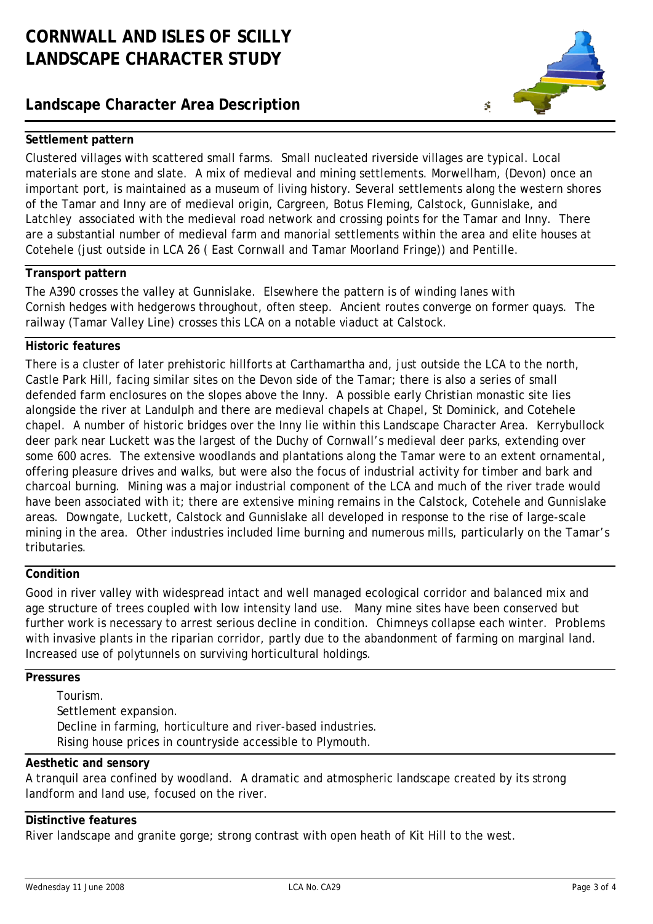# **CORNWALL AND ISLES OF SCILLY LANDSCAPE CHARACTER STUDY**

# **Landscape Character Area Description**



## **Settlement pattern**

Clustered villages with scattered small farms. Small nucleated riverside villages are typical. Local materials are stone and slate. A mix of medieval and mining settlements. Morwellham, (Devon) once an important port, is maintained as a museum of living history. Several settlements along the western shores of the Tamar and Inny are of medieval origin, Cargreen, Botus Fleming, Calstock, Gunnislake, and Latchley associated with the medieval road network and crossing points for the Tamar and Inny. There are a substantial number of medieval farm and manorial settlements within the area and elite houses at Cotehele (just outside in LCA 26 ( East Cornwall and Tamar Moorland Fringe)) and Pentille.

### **Transport pattern**

The A390 crosses the valley at Gunnislake. Elsewhere the pattern is of winding lanes with Cornish hedges with hedgerows throughout, often steep. Ancient routes converge on former quays. The railway (Tamar Valley Line) crosses this LCA on a notable viaduct at Calstock.

### **Historic features**

There is a cluster of later prehistoric hillforts at Carthamartha and, just outside the LCA to the north, Castle Park Hill, facing similar sites on the Devon side of the Tamar; there is also a series of small defended farm enclosures on the slopes above the Inny. A possible early Christian monastic site lies alongside the river at Landulph and there are medieval chapels at Chapel, St Dominick, and Cotehele chapel. A number of historic bridges over the Inny lie within this Landscape Character Area. Kerrybullock deer park near Luckett was the largest of the Duchy of Cornwall's medieval deer parks, extending over some 600 acres. The extensive woodlands and plantations along the Tamar were to an extent ornamental, offering pleasure drives and walks, but were also the focus of industrial activity for timber and bark and charcoal burning. Mining was a major industrial component of the LCA and much of the river trade would have been associated with it; there are extensive mining remains in the Calstock, Cotehele and Gunnislake areas. Downgate, Luckett, Calstock and Gunnislake all developed in response to the rise of large-scale mining in the area. Other industries included lime burning and numerous mills, particularly on the Tamar's tributaries.

### **Condition**

Good in river valley with widespread intact and well managed ecological corridor and balanced mix and age structure of trees coupled with low intensity land use. Many mine sites have been conserved but further work is necessary to arrest serious decline in condition. Chimneys collapse each winter. Problems with invasive plants in the riparian corridor, partly due to the abandonment of farming on marginal land. Increased use of polytunnels on surviving horticultural holdings.

### **Pressures**

Tourism. Settlement expansion. Decline in farming, horticulture and river-based industries. Rising house prices in countryside accessible to Plymouth.

# **Aesthetic and sensory**

A tranquil area confined by woodland. A dramatic and atmospheric landscape created by its strong landform and land use, focused on the river.

### **Distinctive features**

River landscape and granite gorge; strong contrast with open heath of Kit Hill to the west.